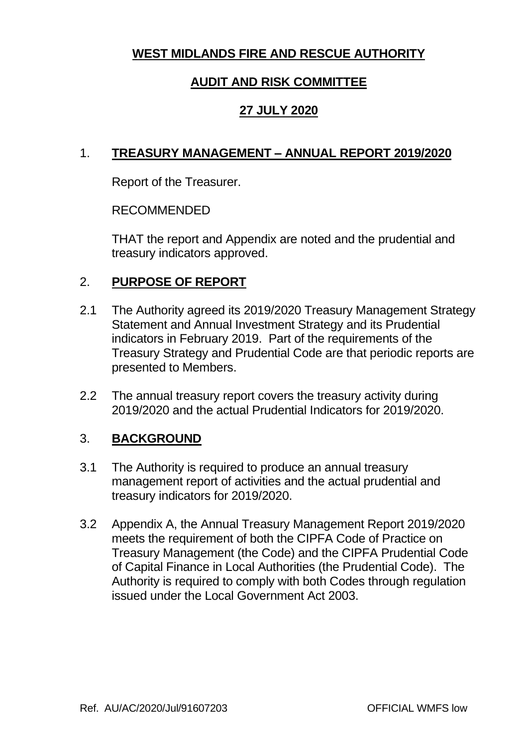### **WEST MIDLANDS FIRE AND RESCUE AUTHORITY**

### **AUDIT AND RISK COMMITTEE**

### **27 JULY 2020**

### 1. **TREASURY MANAGEMENT – ANNUAL REPORT 2019/2020**

Report of the Treasurer.

### RECOMMENDED

THAT the report and Appendix are noted and the prudential and treasury indicators approved.

### 2. **PURPOSE OF REPORT**

- 2.1 The Authority agreed its 2019/2020 Treasury Management Strategy Statement and Annual Investment Strategy and its Prudential indicators in February 2019. Part of the requirements of the Treasury Strategy and Prudential Code are that periodic reports are presented to Members.
- 2.2 The annual treasury report covers the treasury activity during 2019/2020 and the actual Prudential Indicators for 2019/2020.

### 3. **BACKGROUND**

- 3.1 The Authority is required to produce an annual treasury management report of activities and the actual prudential and treasury indicators for 2019/2020.
- 3.2 Appendix A, the Annual Treasury Management Report 2019/2020 meets the requirement of both the CIPFA Code of Practice on Treasury Management (the Code) and the CIPFA Prudential Code of Capital Finance in Local Authorities (the Prudential Code). The Authority is required to comply with both Codes through regulation issued under the Local Government Act 2003.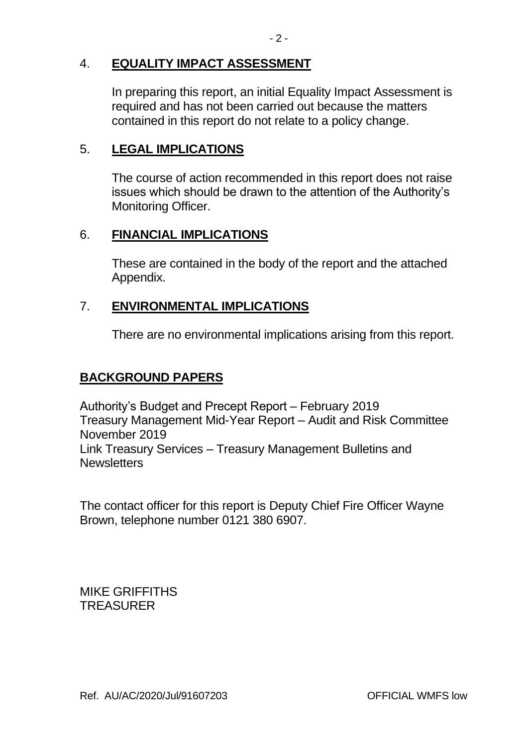### 4. **EQUALITY IMPACT ASSESSMENT**

In preparing this report, an initial Equality Impact Assessment is required and has not been carried out because the matters contained in this report do not relate to a policy change.

### 5. **LEGAL IMPLICATIONS**

The course of action recommended in this report does not raise issues which should be drawn to the attention of the Authority's Monitoring Officer.

### 6. **FINANCIAL IMPLICATIONS**

These are contained in the body of the report and the attached Appendix.

### 7. **ENVIRONMENTAL IMPLICATIONS**

There are no environmental implications arising from this report.

### **BACKGROUND PAPERS**

Authority's Budget and Precept Report – February 2019 Treasury Management Mid-Year Report – Audit and Risk Committee November 2019 Link Treasury Services – Treasury Management Bulletins and **Newsletters** 

The contact officer for this report is Deputy Chief Fire Officer Wayne Brown, telephone number 0121 380 6907.

MIKE GRIFFITHS **TREASURER**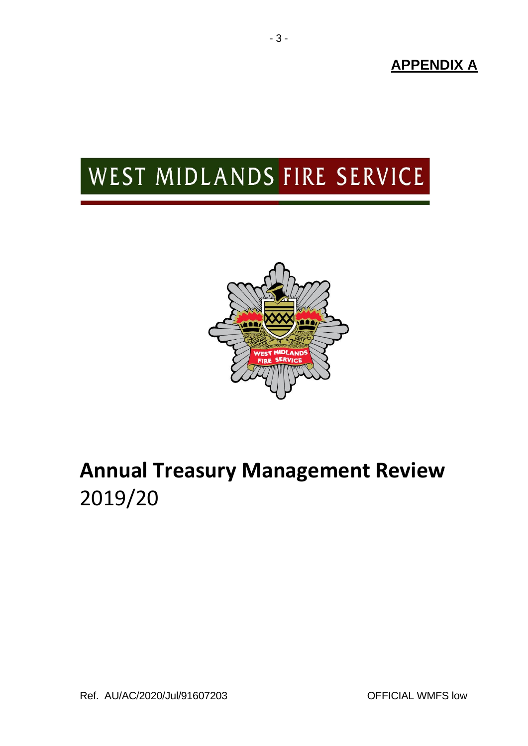**APPENDIX A**

# WEST MIDLANDS FIRE SERVICE



## **Annual Treasury Management Review**  2019/20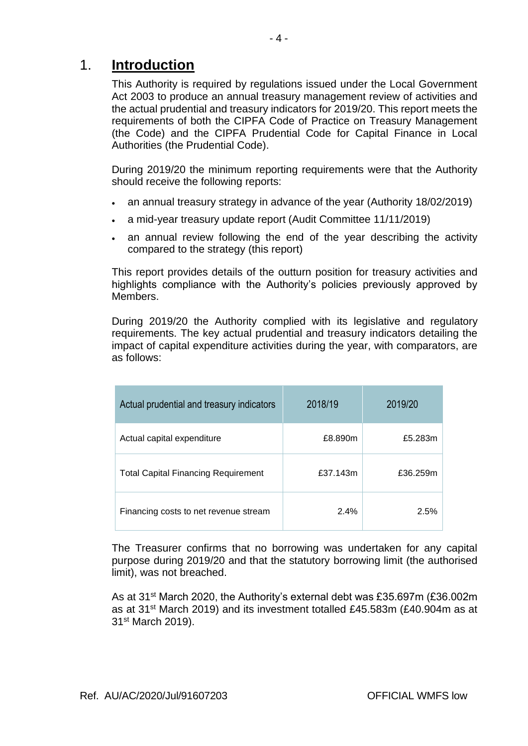### 1. **Introduction**

This Authority is required by regulations issued under the Local Government Act 2003 to produce an annual treasury management review of activities and the actual prudential and treasury indicators for 2019/20. This report meets the requirements of both the CIPFA Code of Practice on Treasury Management (the Code) and the CIPFA Prudential Code for Capital Finance in Local Authorities (the Prudential Code).

During 2019/20 the minimum reporting requirements were that the Authority should receive the following reports:

- an annual treasury strategy in advance of the year (Authority 18/02/2019)
- a mid-year treasury update report (Audit Committee 11/11/2019)
- an annual review following the end of the year describing the activity compared to the strategy (this report)

This report provides details of the outturn position for treasury activities and highlights compliance with the Authority's policies previously approved by Members.

During 2019/20 the Authority complied with its legislative and regulatory requirements. The key actual prudential and treasury indicators detailing the impact of capital expenditure activities during the year, with comparators, are as follows:

| Actual prudential and treasury indicators  | 2018/19  | 2019/20  |
|--------------------------------------------|----------|----------|
| Actual capital expenditure                 | £8.890m  | £5.283m  |
| <b>Total Capital Financing Requirement</b> | £37.143m | £36.259m |
| Financing costs to net revenue stream      | 2.4%     | 2.5%     |

The Treasurer confirms that no borrowing was undertaken for any capital purpose during 2019/20 and that the statutory borrowing limit (the authorised limit), was not breached.

As at 31<sup>st</sup> March 2020, the Authority's external debt was £35.697m (£36.002m) as at 31st March 2019) and its investment totalled £45.583m (£40.904m as at 31st March 2019).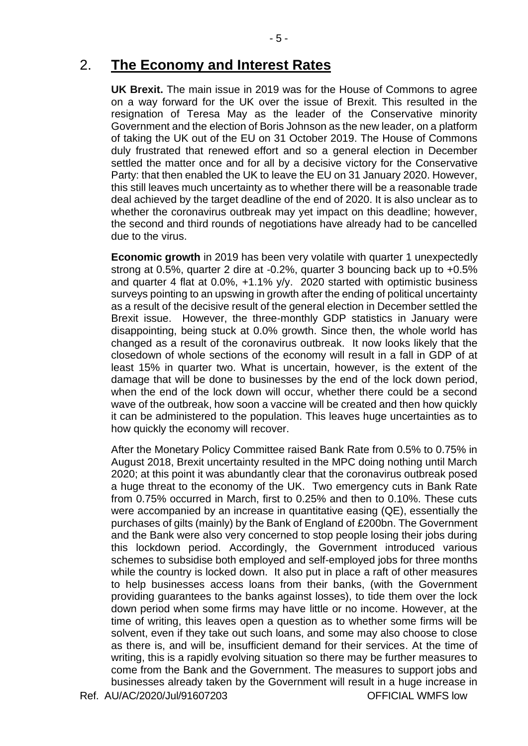### 2. **The Economy and Interest Rates**

**UK Brexit.** The main issue in 2019 was for the House of Commons to agree on a way forward for the UK over the issue of Brexit. This resulted in the resignation of Teresa May as the leader of the Conservative minority Government and the election of Boris Johnson as the new leader, on a platform of taking the UK out of the EU on 31 October 2019. The House of Commons duly frustrated that renewed effort and so a general election in December settled the matter once and for all by a decisive victory for the Conservative Party: that then enabled the UK to leave the EU on 31 January 2020. However, this still leaves much uncertainty as to whether there will be a reasonable trade deal achieved by the target deadline of the end of 2020. It is also unclear as to whether the coronavirus outbreak may yet impact on this deadline; however, the second and third rounds of negotiations have already had to be cancelled due to the virus.

**Economic growth** in 2019 has been very volatile with quarter 1 unexpectedly strong at 0.5%, quarter 2 dire at -0.2%, quarter 3 bouncing back up to +0.5% and quarter 4 flat at 0.0%, +1.1% y/y. 2020 started with optimistic business surveys pointing to an upswing in growth after the ending of political uncertainty as a result of the decisive result of the general election in December settled the Brexit issue. However, the three-monthly GDP statistics in January were disappointing, being stuck at 0.0% growth. Since then, the whole world has changed as a result of the coronavirus outbreak. It now looks likely that the closedown of whole sections of the economy will result in a fall in GDP of at least 15% in quarter two. What is uncertain, however, is the extent of the damage that will be done to businesses by the end of the lock down period, when the end of the lock down will occur, whether there could be a second wave of the outbreak, how soon a vaccine will be created and then how quickly it can be administered to the population. This leaves huge uncertainties as to how quickly the economy will recover.

Ref. AU/AC/2020/Jul/91607203 CERCLAL WMFS low After the Monetary Policy Committee raised Bank Rate from 0.5% to 0.75% in August 2018, Brexit uncertainty resulted in the MPC doing nothing until March 2020; at this point it was abundantly clear that the coronavirus outbreak posed a huge threat to the economy of the UK. Two emergency cuts in Bank Rate from 0.75% occurred in March, first to 0.25% and then to 0.10%. These cuts were accompanied by an increase in quantitative easing (QE), essentially the purchases of gilts (mainly) by the Bank of England of £200bn. The Government and the Bank were also very concerned to stop people losing their jobs during this lockdown period. Accordingly, the Government introduced various schemes to subsidise both employed and self-employed jobs for three months while the country is locked down. It also put in place a raft of other measures to help businesses access loans from their banks, (with the Government providing guarantees to the banks against losses), to tide them over the lock down period when some firms may have little or no income. However, at the time of writing, this leaves open a question as to whether some firms will be solvent, even if they take out such loans, and some may also choose to close as there is, and will be, insufficient demand for their services. At the time of writing, this is a rapidly evolving situation so there may be further measures to come from the Bank and the Government. The measures to support jobs and businesses already taken by the Government will result in a huge increase in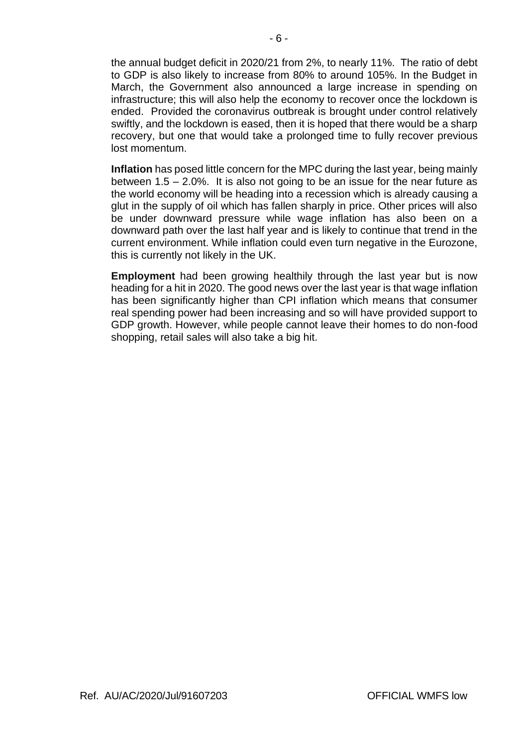the annual budget deficit in 2020/21 from 2%, to nearly 11%. The ratio of debt to GDP is also likely to increase from 80% to around 105%. In the Budget in March, the Government also announced a large increase in spending on infrastructure; this will also help the economy to recover once the lockdown is ended. Provided the coronavirus outbreak is brought under control relatively swiftly, and the lockdown is eased, then it is hoped that there would be a sharp recovery, but one that would take a prolonged time to fully recover previous lost momentum.

**Inflation** has posed little concern for the MPC during the last year, being mainly between 1.5 – 2.0%. It is also not going to be an issue for the near future as the world economy will be heading into a recession which is already causing a glut in the supply of oil which has fallen sharply in price. Other prices will also be under downward pressure while wage inflation has also been on a downward path over the last half year and is likely to continue that trend in the current environment. While inflation could even turn negative in the Eurozone, this is currently not likely in the UK.

**Employment** had been growing healthily through the last year but is now heading for a hit in 2020. The good news over the last year is that wage inflation has been significantly higher than CPI inflation which means that consumer real spending power had been increasing and so will have provided support to GDP growth. However, while people cannot leave their homes to do non-food shopping, retail sales will also take a big hit.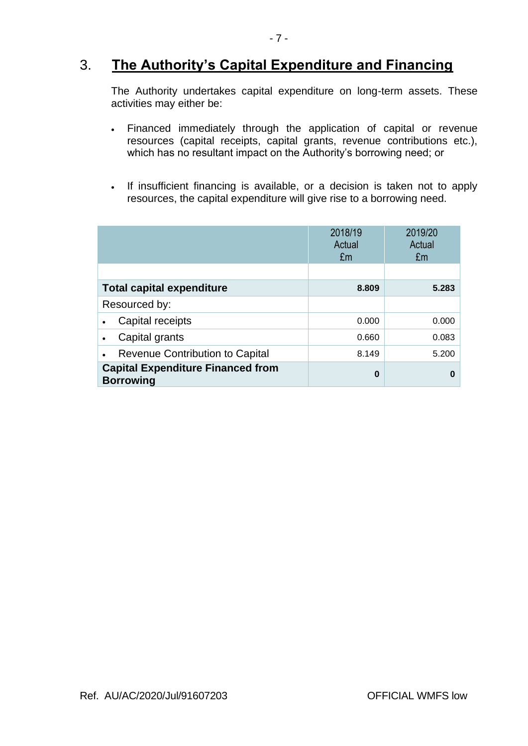## 3. **The Authority's Capital Expenditure and Financing**

The Authority undertakes capital expenditure on long-term assets. These activities may either be:

- Financed immediately through the application of capital or revenue resources (capital receipts, capital grants, revenue contributions etc.), which has no resultant impact on the Authority's borrowing need; or
- If insufficient financing is available, or a decision is taken not to apply resources, the capital expenditure will give rise to a borrowing need.

|                                                              | 2018/19<br>Actual<br>£m | 2019/20<br>Actual<br>£m |  |
|--------------------------------------------------------------|-------------------------|-------------------------|--|
|                                                              |                         |                         |  |
| <b>Total capital expenditure</b>                             | 8.809                   | 5.283                   |  |
| Resourced by:                                                |                         |                         |  |
| Capital receipts                                             | 0.000                   | 0.000                   |  |
| Capital grants                                               | 0.660                   | 0.083                   |  |
| <b>Revenue Contribution to Capital</b>                       | 8.149                   | 5.200                   |  |
| <b>Capital Expenditure Financed from</b><br><b>Borrowing</b> | $\bf{0}$                | n                       |  |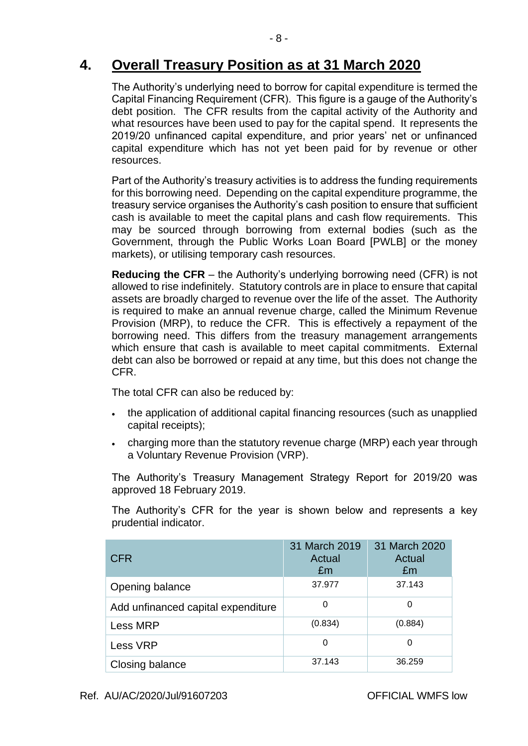## **4. Overall Treasury Position as at 31 March 2020**

The Authority's underlying need to borrow for capital expenditure is termed the Capital Financing Requirement (CFR). This figure is a gauge of the Authority's debt position. The CFR results from the capital activity of the Authority and what resources have been used to pay for the capital spend. It represents the 2019/20 unfinanced capital expenditure, and prior years' net or unfinanced capital expenditure which has not yet been paid for by revenue or other resources.

Part of the Authority's treasury activities is to address the funding requirements for this borrowing need. Depending on the capital expenditure programme, the treasury service organises the Authority's cash position to ensure that sufficient cash is available to meet the capital plans and cash flow requirements. This may be sourced through borrowing from external bodies (such as the Government, through the Public Works Loan Board [PWLB] or the money markets), or utilising temporary cash resources.

**Reducing the CFR** – the Authority's underlying borrowing need (CFR) is not allowed to rise indefinitely. Statutory controls are in place to ensure that capital assets are broadly charged to revenue over the life of the asset. The Authority is required to make an annual revenue charge, called the Minimum Revenue Provision (MRP), to reduce the CFR. This is effectively a repayment of the borrowing need. This differs from the treasury management arrangements which ensure that cash is available to meet capital commitments. External debt can also be borrowed or repaid at any time, but this does not change the CFR.

The total CFR can also be reduced by:

- the application of additional capital financing resources (such as unapplied capital receipts);
- charging more than the statutory revenue charge (MRP) each year through a Voluntary Revenue Provision (VRP).

The Authority's Treasury Management Strategy Report for 2019/20 was approved 18 February 2019.

The Authority's CFR for the year is shown below and represents a key prudential indicator.

| <b>CFR</b>                         | 31 March 2019<br>Actual<br>Em | 31 March 2020<br>Actual<br>£m |
|------------------------------------|-------------------------------|-------------------------------|
| Opening balance                    | 37.977                        | 37.143                        |
| Add unfinanced capital expenditure | 0                             | 0                             |
| Less MRP                           | (0.834)                       | (0.884)                       |
| Less VRP                           | 0                             | 0                             |
| Closing balance                    | 37.143                        | 36.259                        |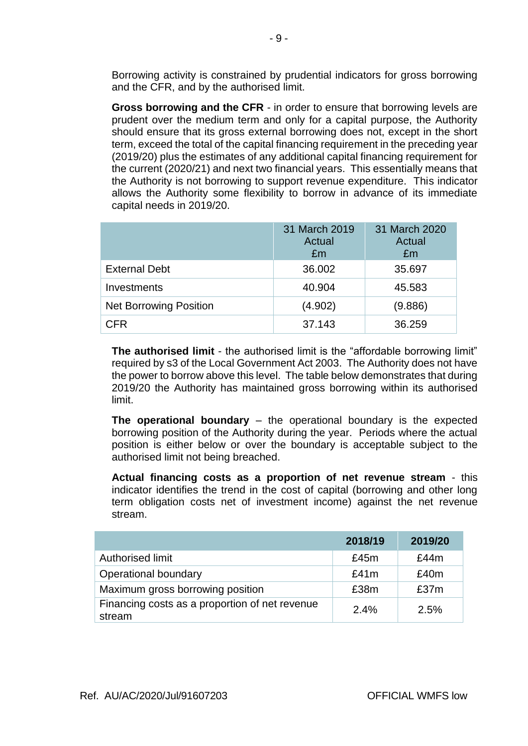Borrowing activity is constrained by prudential indicators for gross borrowing and the CFR, and by the authorised limit.

**Gross borrowing and the CFR** - in order to ensure that borrowing levels are prudent over the medium term and only for a capital purpose, the Authority should ensure that its gross external borrowing does not, except in the short term, exceed the total of the capital financing requirement in the preceding year (2019/20) plus the estimates of any additional capital financing requirement for the current (2020/21) and next two financial years. This essentially means that the Authority is not borrowing to support revenue expenditure. This indicator allows the Authority some flexibility to borrow in advance of its immediate capital needs in 2019/20.

|                               | 31 March 2019<br>Actual<br>£m | 31 March 2020<br>Actual<br>£m |
|-------------------------------|-------------------------------|-------------------------------|
| <b>External Debt</b>          | 36.002                        | 35.697                        |
| Investments                   | 40.904                        | 45.583                        |
| <b>Net Borrowing Position</b> | (4.902)                       | (9.886)                       |
| <b>CFR</b>                    | 37.143                        | 36.259                        |

**The authorised limit** - the authorised limit is the "affordable borrowing limit" required by s3 of the Local Government Act 2003. The Authority does not have the power to borrow above this level. The table below demonstrates that during 2019/20 the Authority has maintained gross borrowing within its authorised limit.

**The operational boundary** – the operational boundary is the expected borrowing position of the Authority during the year. Periods where the actual position is either below or over the boundary is acceptable subject to the authorised limit not being breached.

**Actual financing costs as a proportion of net revenue stream** - this indicator identifies the trend in the cost of capital (borrowing and other long term obligation costs net of investment income) against the net revenue stream.

|                                                          | 2018/19 | 2019/20 |
|----------------------------------------------------------|---------|---------|
| Authorised limit                                         | £45m    | £44m    |
| Operational boundary                                     | £41m    | £40m    |
| Maximum gross borrowing position                         | £38m    | £37m    |
| Financing costs as a proportion of net revenue<br>stream | 2.4%    | 2.5%    |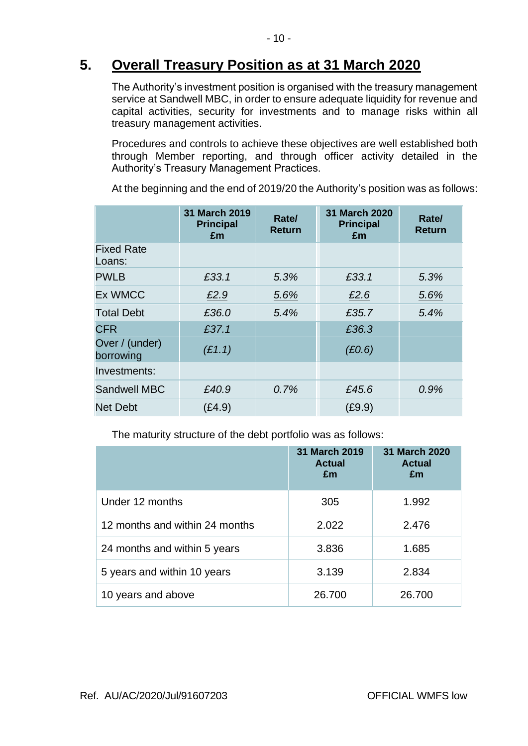## **5. Overall Treasury Position as at 31 March 2020**

The Authority's investment position is organised with the treasury management service at Sandwell MBC, in order to ensure adequate liquidity for revenue and capital activities, security for investments and to manage risks within all treasury management activities.

Procedures and controls to achieve these objectives are well established both through Member reporting, and through officer activity detailed in the Authority's Treasury Management Practices.

At the beginning and the end of 2019/20 the Authority's position was as follows:

|                             | 31 March 2019<br><b>Principal</b><br>£m | Rate/<br><b>Return</b> | 31 March 2020<br><b>Principal</b><br>£m | Rate/<br><b>Return</b> |
|-----------------------------|-----------------------------------------|------------------------|-----------------------------------------|------------------------|
| <b>Fixed Rate</b><br>Loans: |                                         |                        |                                         |                        |
| <b>PWLB</b>                 | £33.1                                   | 5.3%                   | £33.1                                   | 5.3%                   |
| <b>Ex WMCC</b>              | £2.9                                    | 5.6%                   | £2.6                                    | 5.6%                   |
| <b>Total Debt</b>           | £36.0                                   | 5.4%                   | £35.7                                   | 5.4%                   |
| <b>CFR</b>                  | £37.1                                   |                        | £36.3                                   |                        |
| Over / (under)<br>borrowing | (E1.1)                                  |                        | (E0.6)                                  |                        |
| Investments:                |                                         |                        |                                         |                        |
| <b>Sandwell MBC</b>         | £40.9                                   | 0.7%                   | £45.6                                   | 0.9%                   |
| <b>Net Debt</b>             | (£4.9)                                  |                        | (E9.9)                                  |                        |

The maturity structure of the debt portfolio was as follows:

|                                | 31 March 2019<br><b>Actual</b><br>£m | <b>31 March 2020</b><br><b>Actual</b><br>£m |
|--------------------------------|--------------------------------------|---------------------------------------------|
| Under 12 months                | 305                                  | 1.992                                       |
| 12 months and within 24 months | 2.022                                | 2.476                                       |
| 24 months and within 5 years   | 3.836                                | 1.685                                       |
| 5 years and within 10 years    | 3.139                                | 2.834                                       |
| 10 years and above             | 26.700                               | 26.700                                      |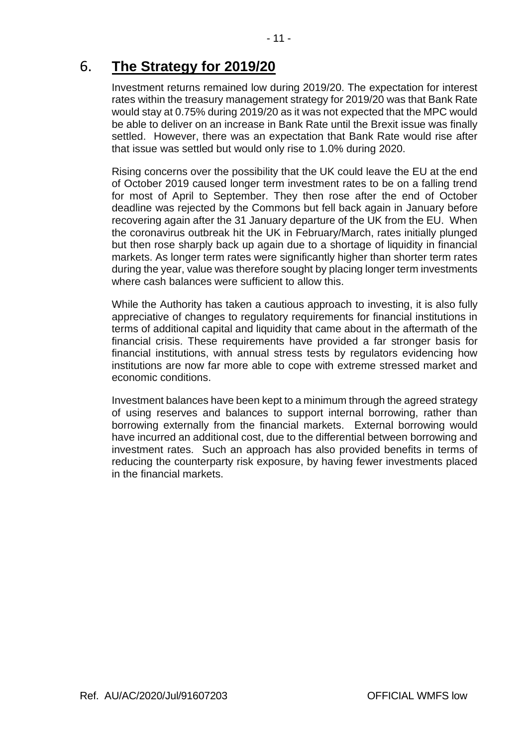## 6. **The Strategy for 2019/20**

Investment returns remained low during 2019/20. The expectation for interest rates within the treasury management strategy for 2019/20 was that Bank Rate would stay at 0.75% during 2019/20 as it was not expected that the MPC would be able to deliver on an increase in Bank Rate until the Brexit issue was finally settled. However, there was an expectation that Bank Rate would rise after that issue was settled but would only rise to 1.0% during 2020.

Rising concerns over the possibility that the UK could leave the EU at the end of October 2019 caused longer term investment rates to be on a falling trend for most of April to September. They then rose after the end of October deadline was rejected by the Commons but fell back again in January before recovering again after the 31 January departure of the UK from the EU. When the coronavirus outbreak hit the UK in February/March, rates initially plunged but then rose sharply back up again due to a shortage of liquidity in financial markets. As longer term rates were significantly higher than shorter term rates during the year, value was therefore sought by placing longer term investments where cash balances were sufficient to allow this.

While the Authority has taken a cautious approach to investing, it is also fully appreciative of changes to regulatory requirements for financial institutions in terms of additional capital and liquidity that came about in the aftermath of the financial crisis. These requirements have provided a far stronger basis for financial institutions, with annual stress tests by regulators evidencing how institutions are now far more able to cope with extreme stressed market and economic conditions.

Investment balances have been kept to a minimum through the agreed strategy of using reserves and balances to support internal borrowing, rather than borrowing externally from the financial markets. External borrowing would have incurred an additional cost, due to the differential between borrowing and investment rates. Such an approach has also provided benefits in terms of reducing the counterparty risk exposure, by having fewer investments placed in the financial markets.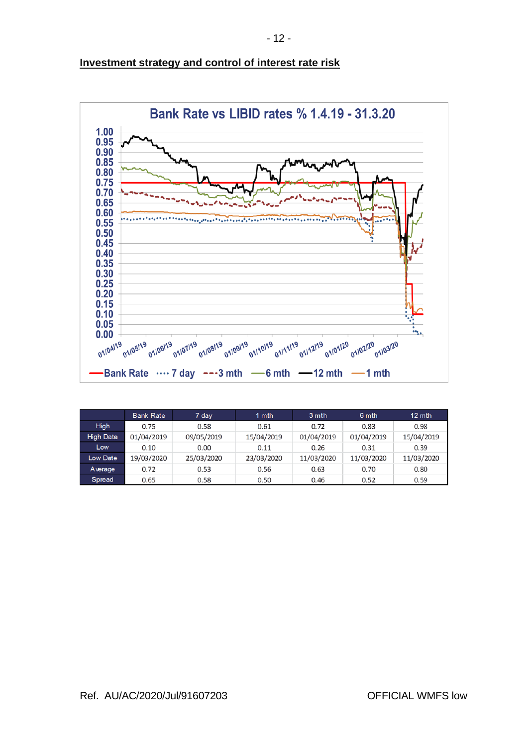

#### **Investment strategy and control of interest rate risk**

|                  | <b>Bank Rate</b> | 7 day      | 1 mth      | 3 mth      | 6 mth      | $12 \text{ mth}$ |
|------------------|------------------|------------|------------|------------|------------|------------------|
| High             | 0.75             | 0.58       | 0.61       | 0.72       | 0.83       | 0.98             |
| <b>High Date</b> | 01/04/2019       | 09/05/2019 | 15/04/2019 | 01/04/2019 | 01/04/2019 | 15/04/2019       |
| Low              | 0.10             | 0.00       | 0.11       | 0.26       | 0.31       | 0.39             |
| Low Date         | 19/03/2020       | 25/03/2020 | 23/03/2020 | 11/03/2020 | 11/03/2020 | 11/03/2020       |
| Average          | 0.72             | 0.53       | 0.56       | 0.63       | 0.70       | 0.80             |
| Spread           | 0.65             | 0.58       | 0.50       | 0.46       | 0.52       | 0.59             |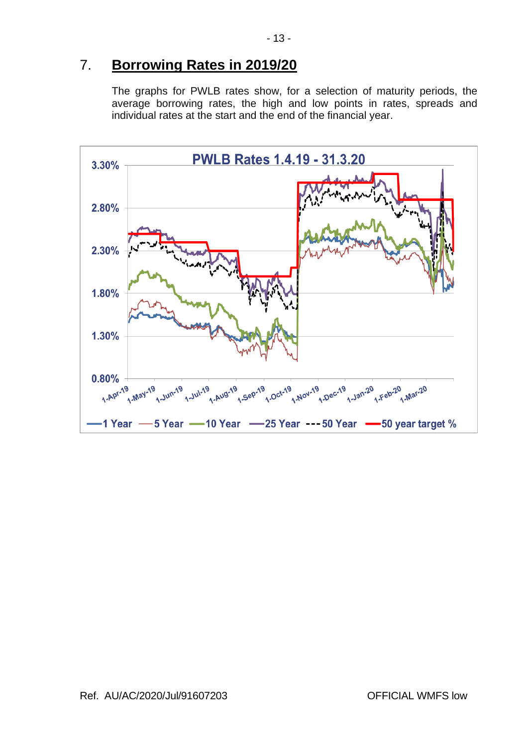## 7. **Borrowing Rates in 2019/20**

The graphs for PWLB rates show, for a selection of maturity periods, the average borrowing rates, the high and low points in rates, spreads and individual rates at the start and the end of the financial year.

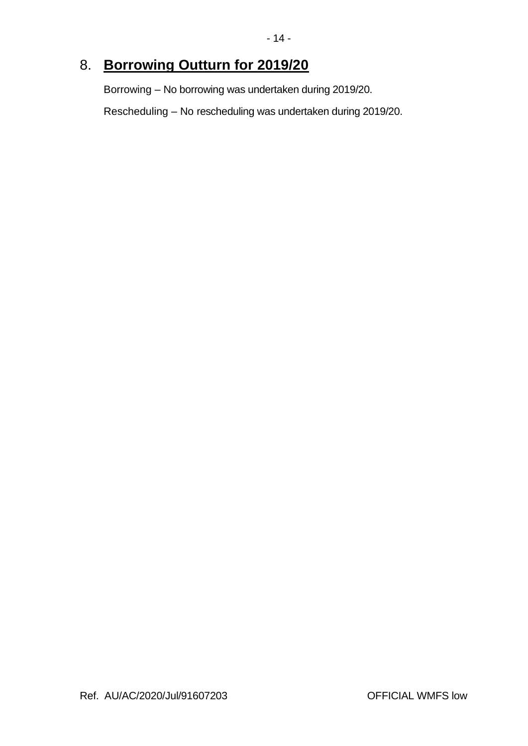## 8. **Borrowing Outturn for 2019/20**

Borrowing – No borrowing was undertaken during 2019/20.

Rescheduling – No rescheduling was undertaken during 2019/20.